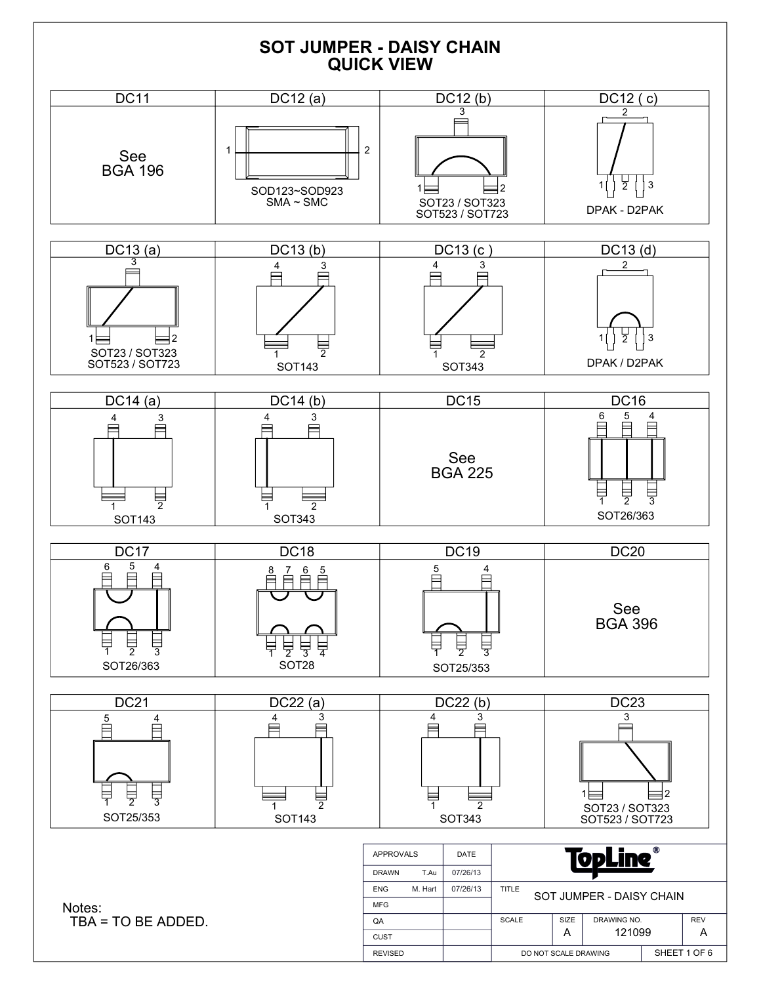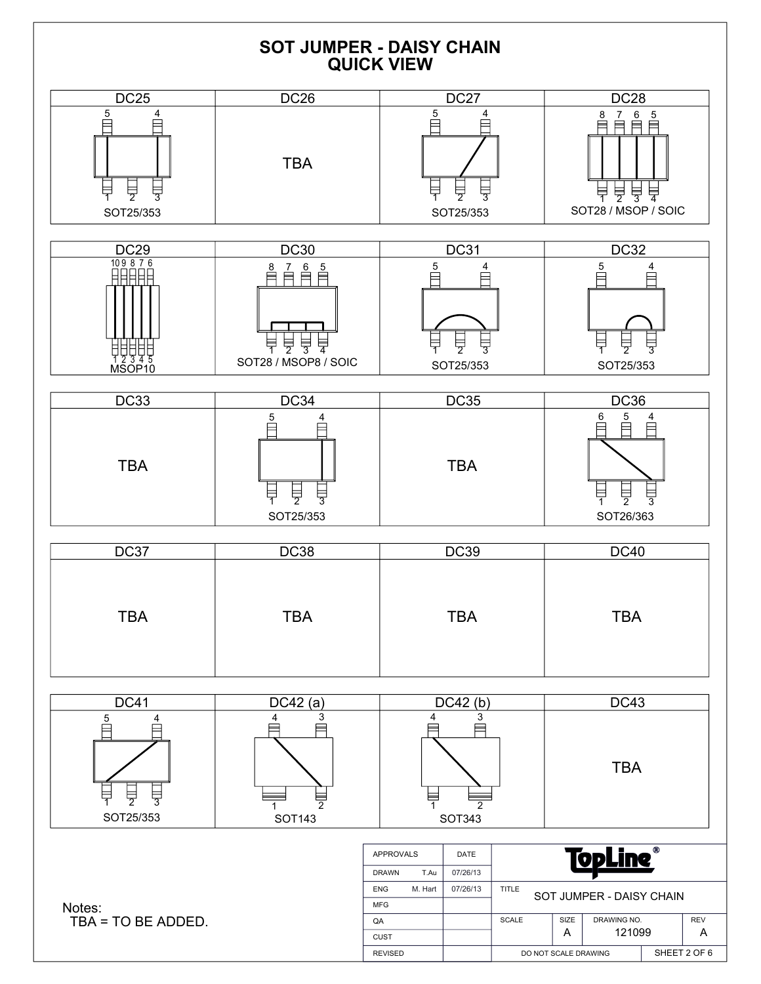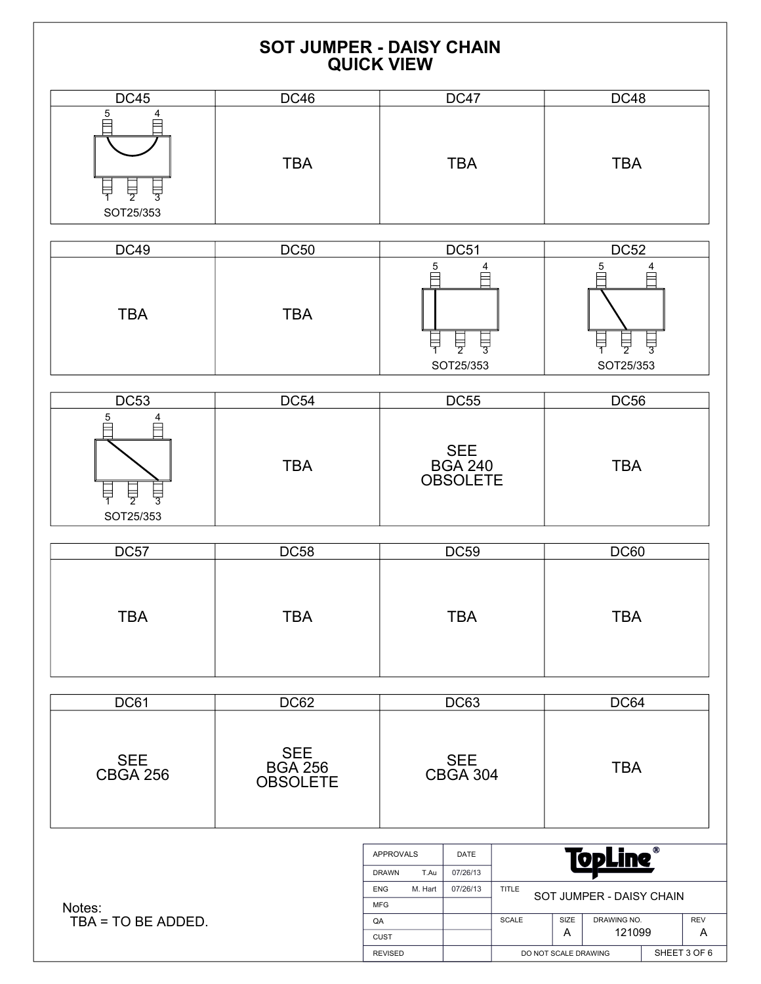|                                                       | <b>SOT JUMPER - DAISY CHAIN</b>                 | <b>QUICK VIEW</b>                                                                                        |                                                 |                       |                                                                                                           |                                 |  |
|-------------------------------------------------------|-------------------------------------------------|----------------------------------------------------------------------------------------------------------|-------------------------------------------------|-----------------------|-----------------------------------------------------------------------------------------------------------|---------------------------------|--|
| <b>DC45</b>                                           | <b>DC46</b>                                     |                                                                                                          | <b>DC47</b>                                     |                       | <b>DC48</b>                                                                                               |                                 |  |
| 5<br>$\frac{1}{2}$<br>$\frac{1}{3}$<br>로<br>SOT25/353 | <b>TBA</b>                                      |                                                                                                          | <b>TBA</b>                                      |                       | <b>TBA</b>                                                                                                |                                 |  |
| <b>DC49</b>                                           | <b>DC50</b>                                     |                                                                                                          | <b>DC51</b>                                     |                       | DC52                                                                                                      |                                 |  |
| <b>TBA</b>                                            | <b>TBA</b>                                      | $\frac{5}{1}$<br>부                                                                                       | 4<br>$\overline{\frac{1}{2}}$<br>븋<br>SOT25/353 |                       | $\frac{5}{5}$<br>4<br>특<br>1<br>$\frac{1}{2}$<br>븋<br>SOT25/353                                           |                                 |  |
| <b>DC53</b>                                           | <b>DC54</b>                                     |                                                                                                          | <b>DC55</b>                                     |                       | <b>DC56</b>                                                                                               |                                 |  |
| 5<br>阜<br>$\frac{1}{2}$<br>팋<br>SOT25/353             | <b>TBA</b>                                      |                                                                                                          | <b>SEE</b><br><b>BGA 240</b><br><b>OBSOLETE</b> |                       | <b>TBA</b>                                                                                                |                                 |  |
| <b>DC57</b>                                           | <b>DC58</b>                                     |                                                                                                          | <b>DC59</b>                                     |                       | <b>DC60</b>                                                                                               |                                 |  |
| <b>TBA</b>                                            | <b>TBA</b>                                      |                                                                                                          | <b>TBA</b>                                      |                       | <b>TBA</b>                                                                                                |                                 |  |
| DC61                                                  | <b>DC62</b>                                     |                                                                                                          | <b>DC63</b>                                     |                       | DC64                                                                                                      |                                 |  |
| <b>SEE</b><br><b>CBGA 256</b>                         | <b>SEE</b><br><b>BGA 256</b><br><b>OBSOLETE</b> |                                                                                                          | <b>SEE</b><br><b>CBGA 304</b>                   |                       | <b>TBA</b>                                                                                                |                                 |  |
| Notes:<br>TBA = TO BE ADDED.                          |                                                 | <b>APPROVALS</b><br><b>DRAWN</b><br>T.Au<br>M. Hart<br>ENG<br><b>MFG</b><br>QA<br>CUST<br><b>REVISED</b> | DATE<br>07/26/13<br>07/26/13                    | <b>TITLE</b><br>SCALE | <u>TopLine </u><br>SOT JUMPER - DAISY CHAIN<br>SIZE<br>DRAWING NO.<br>A<br>121099<br>DO NOT SCALE DRAWING | <b>REV</b><br>A<br>SHEET 3 OF 6 |  |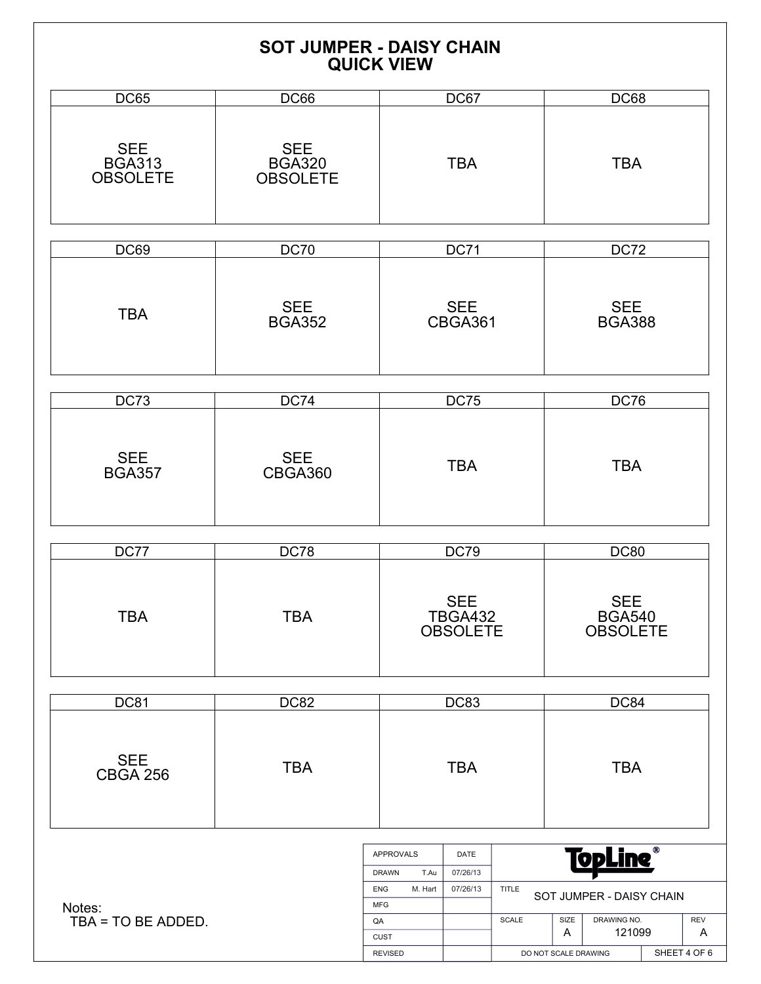|                                                | <b>SOT JUMPER - DAISY CHAIN</b>                | <b>QUICK VIEW</b>                                                                      |                                                 |                       |                                                |                                                                       |          |  |
|------------------------------------------------|------------------------------------------------|----------------------------------------------------------------------------------------|-------------------------------------------------|-----------------------|------------------------------------------------|-----------------------------------------------------------------------|----------|--|
| <b>DC65</b>                                    | <b>DC66</b>                                    |                                                                                        | DC67                                            |                       |                                                | <b>DC68</b>                                                           |          |  |
| <b>SEE</b><br><b>BGA313</b><br><b>OBSOLETE</b> | <b>SEE</b><br><b>BGA320</b><br><b>OBSOLETE</b> |                                                                                        | <b>TBA</b>                                      |                       |                                                | <b>TBA</b>                                                            |          |  |
|                                                |                                                |                                                                                        |                                                 |                       |                                                |                                                                       |          |  |
| DC69                                           | DC70                                           |                                                                                        | <b>DC71</b>                                     |                       | <b>DC72</b>                                    |                                                                       |          |  |
| <b>TBA</b>                                     | <b>SEE</b><br><b>BGA352</b>                    |                                                                                        | <b>SEE</b><br>CBGA361                           |                       | <b>SEE</b><br><b>BGA388</b>                    |                                                                       |          |  |
|                                                |                                                |                                                                                        |                                                 |                       |                                                |                                                                       |          |  |
| <b>DC73</b>                                    | <b>DC74</b>                                    |                                                                                        | <b>DC75</b>                                     |                       |                                                | <b>DC76</b>                                                           |          |  |
| <b>SEE</b><br><b>BGA357</b>                    | <b>SEE</b><br>CBGA360                          |                                                                                        | <b>TBA</b>                                      |                       | <b>TBA</b>                                     |                                                                       |          |  |
| DC77                                           | <b>DC78</b>                                    |                                                                                        | <b>DC79</b>                                     |                       | <b>DC80</b>                                    |                                                                       |          |  |
| <b>TBA</b>                                     | <b>TBA</b>                                     |                                                                                        | <b>SEE</b><br><b>TBGA432</b><br><b>OBSOLETE</b> |                       | <b>SEE</b><br><b>BGA540</b><br><b>OBSOLETE</b> |                                                                       |          |  |
| <b>DC81</b>                                    | <b>DC82</b>                                    |                                                                                        | <b>DC83</b>                                     |                       | DC84                                           |                                                                       |          |  |
| <b>SEE</b><br><b>CBGA 256</b>                  | <b>TBA</b>                                     |                                                                                        | <b>TBA</b>                                      |                       | <b>TBA</b>                                     |                                                                       |          |  |
| Notes:<br>TBA = TO BE ADDED.                   |                                                | APPROVALS<br><b>DRAWN</b><br>T.Au<br><b>ENG</b><br>M. Hart<br><b>MFG</b><br>QA<br>CUST | DATE<br>07/26/13<br>07/26/13                    | <b>TITLE</b><br>SCALE | SIZE<br>A                                      | <u> TopLine </u><br>SOT JUMPER - DAISY CHAIN<br>DRAWING NO.<br>121099 | REV<br>A |  |

REVISED

SHEET 4 OF 6

DO NOT SCALE DRAWING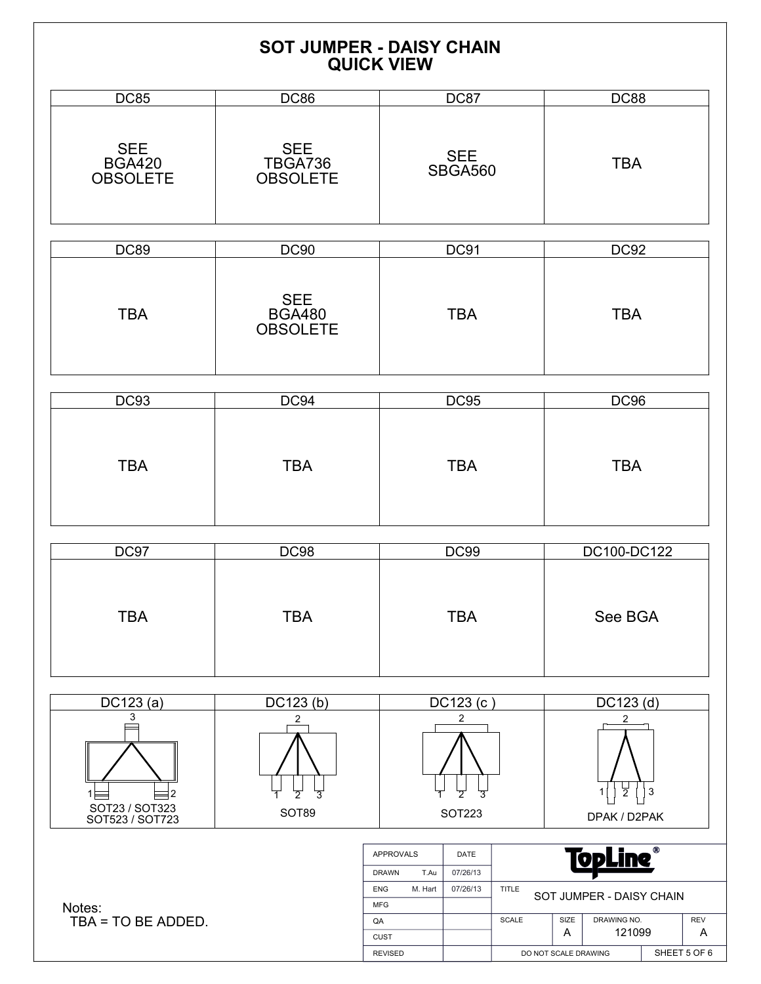|                                                |                                                | <b>SOT JUMPER - DAISY CHAIN</b><br><b>QUICK VIEW</b>                                                                                            |                                                                                                                                                                        |
|------------------------------------------------|------------------------------------------------|-------------------------------------------------------------------------------------------------------------------------------------------------|------------------------------------------------------------------------------------------------------------------------------------------------------------------------|
| <b>DC85</b>                                    | DC86                                           | DC87                                                                                                                                            | <b>DC88</b>                                                                                                                                                            |
| <b>SEE</b><br><b>BGA420</b><br><b>OBSOLETE</b> | <b>SEE</b><br>TBGA736<br><b>OBSOLETE</b>       | <b>SEE</b><br><b>SBGA560</b>                                                                                                                    | <b>TBA</b>                                                                                                                                                             |
| <b>DC89</b>                                    | <b>DC90</b>                                    | <b>DC91</b>                                                                                                                                     | <b>DC92</b>                                                                                                                                                            |
| <b>TBA</b>                                     | <b>SEE</b><br><b>BGA480</b><br><b>OBSOLETE</b> | <b>TBA</b>                                                                                                                                      | <b>TBA</b>                                                                                                                                                             |
| <b>DC93</b>                                    | DC94                                           | <b>DC95</b>                                                                                                                                     | <b>DC96</b>                                                                                                                                                            |
| <b>TBA</b>                                     | <b>TBA</b>                                     | <b>TBA</b>                                                                                                                                      | <b>TBA</b>                                                                                                                                                             |
| DC97                                           | <b>DC98</b>                                    | <b>DC99</b>                                                                                                                                     | DC100-DC122                                                                                                                                                            |
| <b>TBA</b>                                     | <b>TBA</b>                                     | <b>TBA</b>                                                                                                                                      | See BGA                                                                                                                                                                |
| DC123 (a)                                      | DC123(b)                                       | DC123 (c)                                                                                                                                       | $DC123$ (d)                                                                                                                                                            |
| 3<br>2<br>SOT23 / SOT323<br>SOT523 / SOT723    | 2<br>3<br>SOT89                                | 2<br><b>SOT223</b>                                                                                                                              | 2<br>$\frac{1}{2}$<br>3<br>DPAK / D2PAK                                                                                                                                |
| Notes:<br>TBA = TO BE ADDED.                   |                                                | <b>APPROVALS</b><br>DATE<br><b>DRAWN</b><br>T.Au<br>07/26/13<br>M. Hart<br>07/26/13<br><b>ENG</b><br><b>MFG</b><br>QA<br>CUST<br><b>REVISED</b> | <u> TopLine®</u><br><b>TITLE</b><br>SOT JUMPER - DAISY CHAIN<br>DRAWING NO.<br>SCALE<br>SIZE<br><b>REV</b><br>121099<br>A<br>Α<br>SHEET 5 OF 6<br>DO NOT SCALE DRAWING |